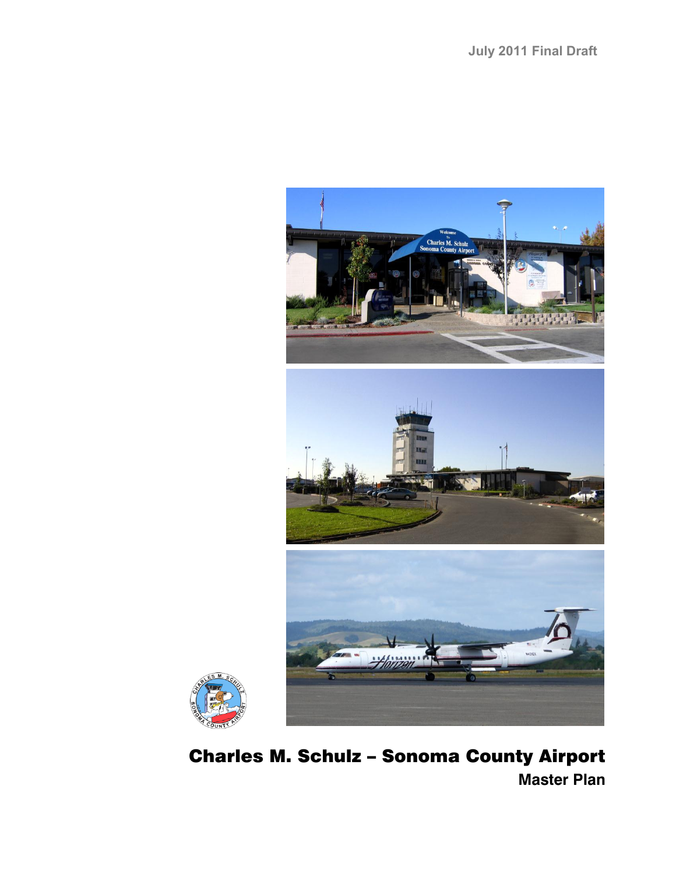



# Charles M. Schulz – Sonoma County Airport **Master Plan**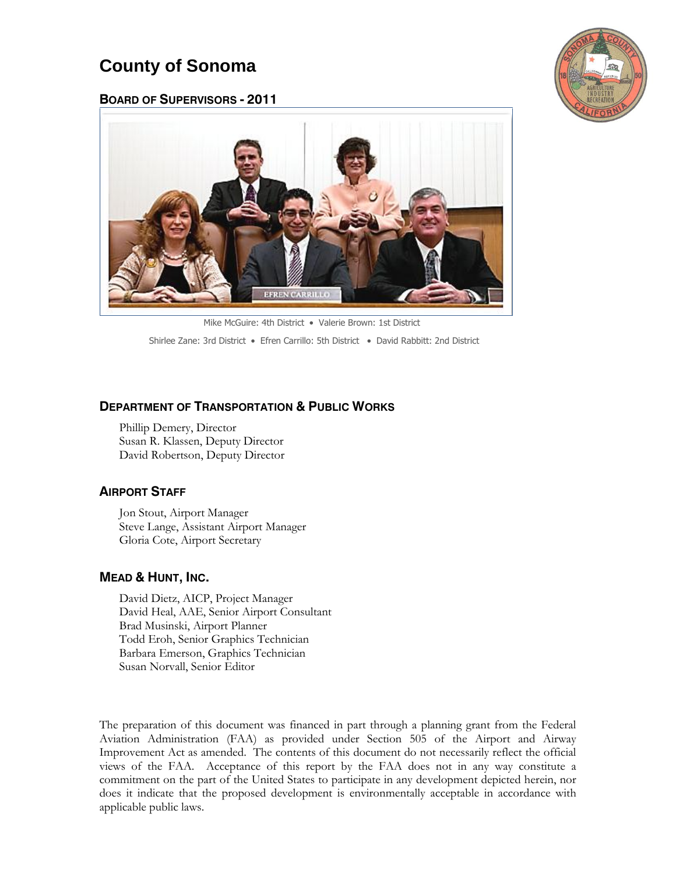## **County of Sonoma**





 [Mike McGuire: 4th District](http://supervisors.sonoma-county.org/content.aspx?sid=1005&id=1014)  [Valerie Brown: 1st District](http://supervisors.sonoma-county.org/content.aspx?sid=1002&id=1011) [Shirlee Zane: 3rd District](http://supervisors.sonoma-county.org/content.aspx?sid=1004&id=1013) . [Efren Carrillo:](http://supervisors.sonoma-county.org/content.aspx?sid=1006&id=1015) 5th District . [David Rabbitt: 2nd District](http://supervisors.sonoma-county.org/content.aspx?sid=1003&id=1012)

## **DEPARTMENT OF TRANSPORTATION & PUBLIC WORKS**

Phillip Demery, Director Susan R. Klassen, Deputy Director David Robertson, Deputy Director

## **AIRPORT STAFF**

Jon Stout, Airport Manager Steve Lange, Assistant Airport Manager Gloria Cote, Airport Secretary

## **MEAD & HUNT, INC.**

David Dietz, AICP, Project Manager David Heal, AAE, Senior Airport Consultant Brad Musinski, Airport Planner Todd Eroh, Senior Graphics Technician Barbara Emerson, Graphics Technician Susan Norvall, Senior Editor

The preparation of this document was financed in part through a planning grant from the Federal Aviation Administration (FAA) as provided under Section 505 of the Airport and Airway Improvement Act as amended. The contents of this document do not necessarily reflect the official views of the FAA. Acceptance of this report by the FAA does not in any way constitute a commitment on the part of the United States to participate in any development depicted herein, nor does it indicate that the proposed development is environmentally acceptable in accordance with applicable public laws.

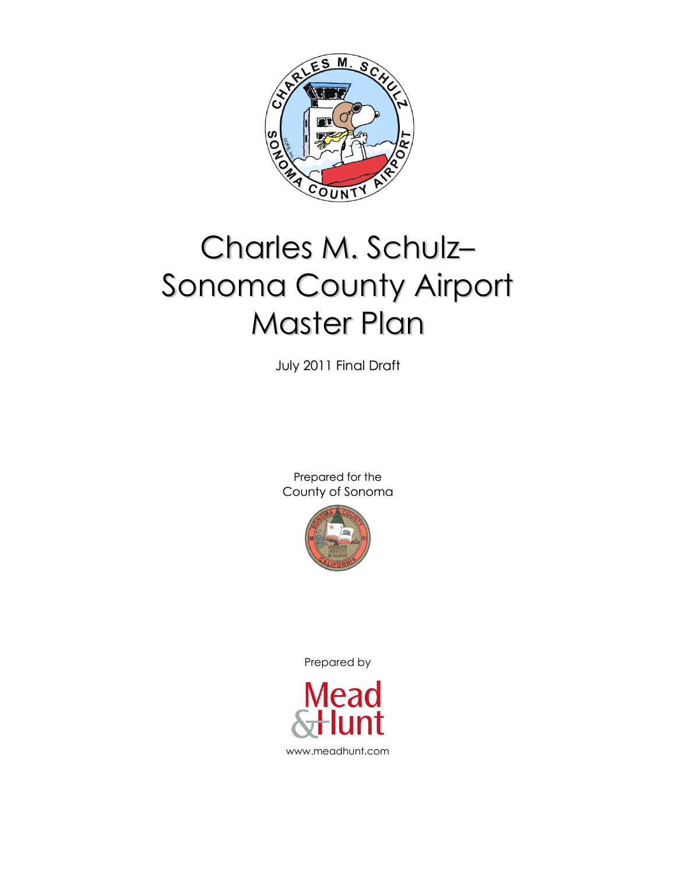

# Charles M. Schulz– Sonoma County Airport Master Plan

July 2011 Final Draft

Prepared for the County of Sonoma



Prepared by

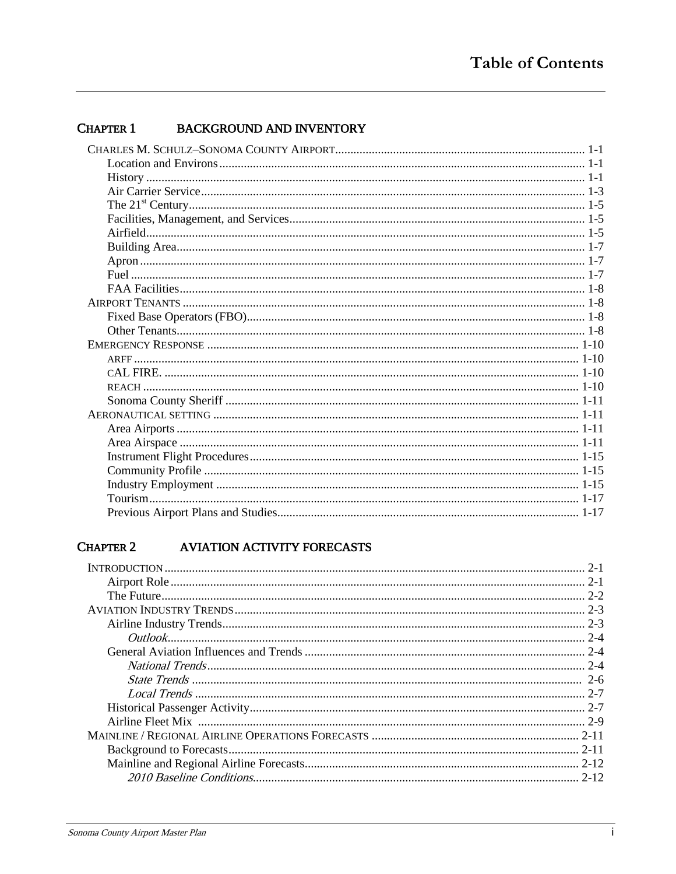#### **CHAPTER 1 BACKGROUND AND INVENTORY**

#### **CHAPTER 2 AVIATION ACTIVITY FORECASTS**

| $2 - 1$ |
|---------|
| $2 - 1$ |
|         |
|         |
|         |
|         |
| $2 - 4$ |
|         |
|         |
| $2 - 7$ |
|         |
|         |
|         |
|         |
|         |
|         |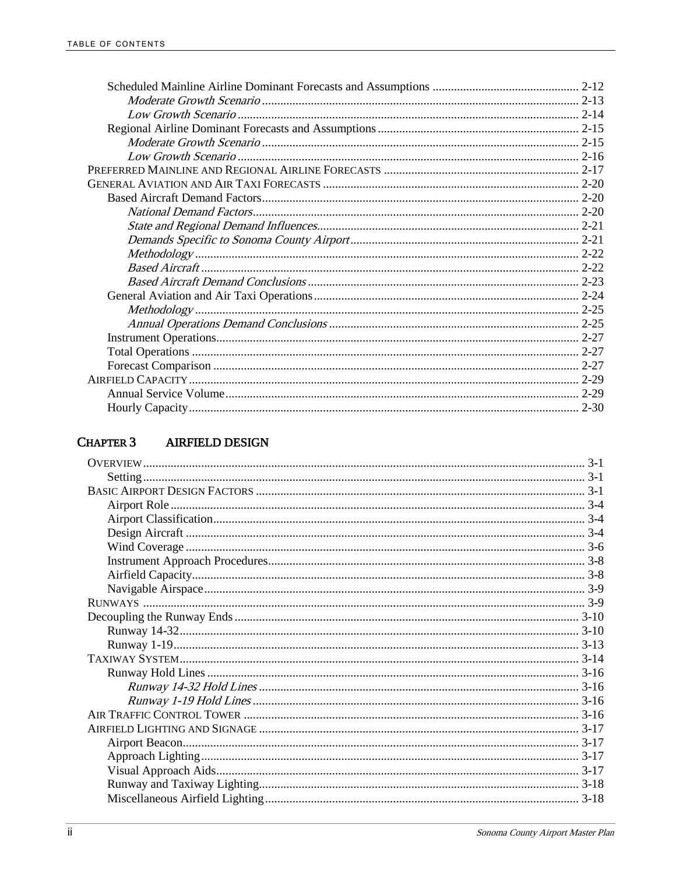#### **AIRFIELD DESIGN CHAPTER 3**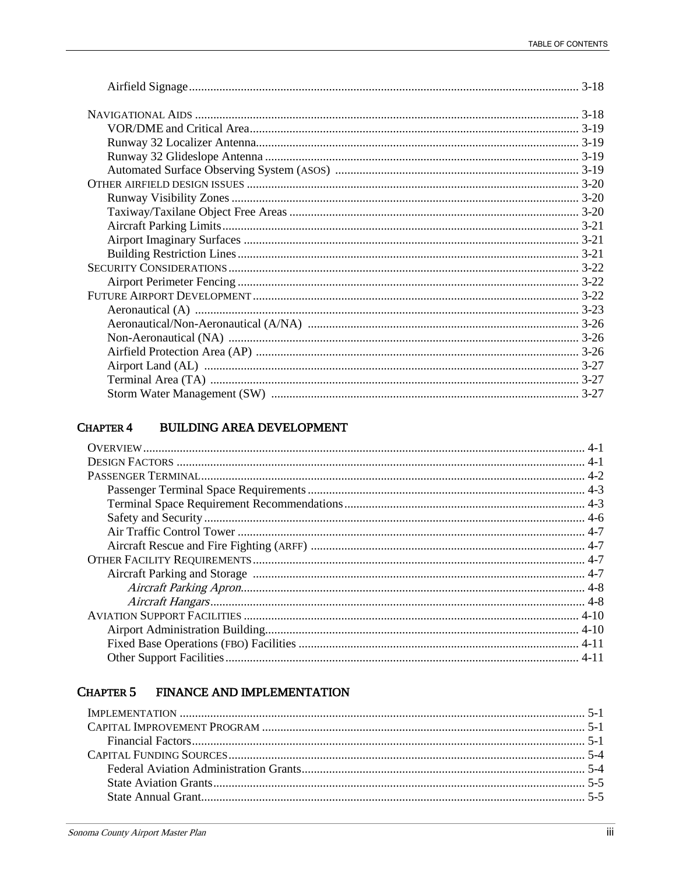#### **BUILDING AREA DEVELOPMENT CHAPTER 4**

#### FINANCE AND IMPLEMENTATION **CHAPTER 5**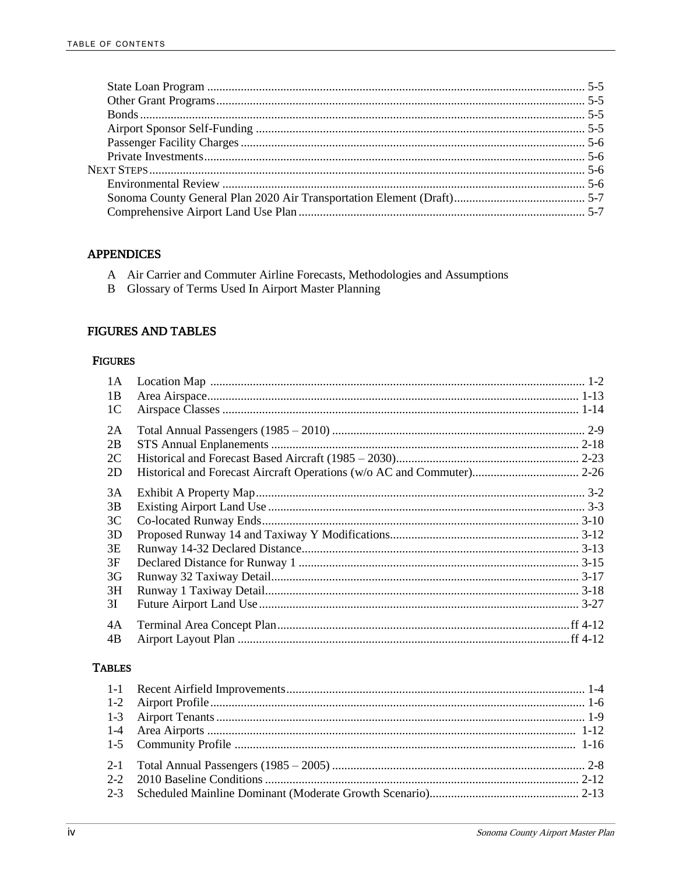## **APPENDICES**

- A Air Carrier and Commuter Airline Forecasts, Methodologies and Assumptions
- B Glossary of Terms Used In Airport Master Planning

## **FIGURES AND TABLES**

## **FIGURES**

| 1A             |  |
|----------------|--|
| 1B             |  |
| 1 <sup>C</sup> |  |
| 2A             |  |
| 2B             |  |
| 2C             |  |
| 2D             |  |
| 3A             |  |
| 3B             |  |
| 3 <sup>C</sup> |  |
| 3D             |  |
| 3E             |  |
| 3F             |  |
| 3G             |  |
| 3H             |  |
| 3I             |  |
| 4A             |  |
| 4B             |  |

## **TABLES**